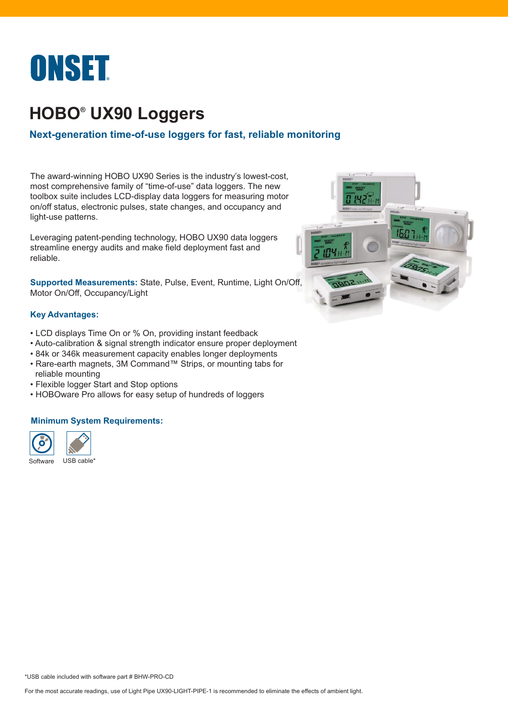

# **HOBO® UX90 Loggers**

## **Next-generation time-of-use loggers for fast, reliable monitoring**

The award-winning HOBO UX90 Series is the industry's lowest-cost, most comprehensive family of "time-of-use" data loggers. The new toolbox suite includes LCD-display data loggers for measuring motor on/off status, electronic pulses, state changes, and occupancy and light-use patterns.

Leveraging patent-pending technology, HOBO UX90 data loggers streamline energy audits and make field deployment fast and reliable.

**Supported Measurements:** State, Pulse, Event, Runtime, Light On/[Off,](https://www.metrics24.de/HOBO-UX90-Serie)  Motor On/Off, Occupancy/Light

#### **Key Advantages:**

- LCD displays Time On or % On, providing instant feedback
- Auto-calibration & signal strength indicator ensure proper deployment
- 84k or 346k measurement capacity enables longer deployments
- Rare-earth magnets, 3M Command™ Strips, or mounting tabs for reliable mounting
- Flexible logger Start and Stop options
- HOBOware Pro allows for easy setup of hundreds of loggers

#### **Minimum System Requirements:**